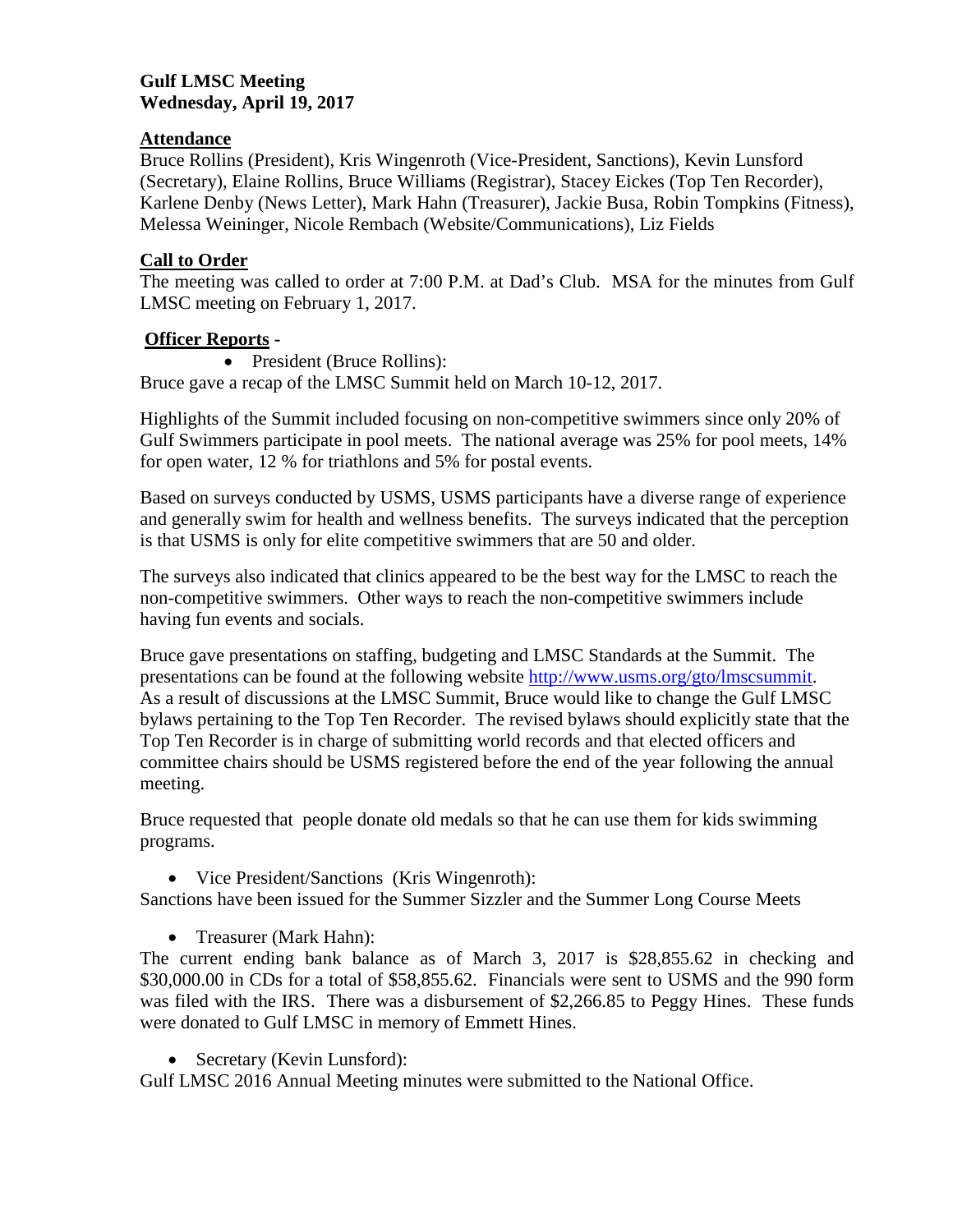## **Gulf LMSC Meeting Wednesday, April 19, 2017**

## **Attendance**

Bruce Rollins (President), Kris Wingenroth (Vice-President, Sanctions), Kevin Lunsford (Secretary), Elaine Rollins, Bruce Williams (Registrar), Stacey Eickes (Top Ten Recorder), Karlene Denby (News Letter), Mark Hahn (Treasurer), Jackie Busa, Robin Tompkins (Fitness), Melessa Weininger, Nicole Rembach (Website/Communications), Liz Fields

## **Call to Order**

The meeting was called to order at 7:00 P.M. at Dad's Club. MSA for the minutes from Gulf LMSC meeting on February 1, 2017.

## **Officer Reports -**

• President (Bruce Rollins):

Bruce gave a recap of the LMSC Summit held on March 10-12, 2017.

Highlights of the Summit included focusing on non-competitive swimmers since only 20% of Gulf Swimmers participate in pool meets. The national average was 25% for pool meets, 14% for open water, 12 % for triathlons and 5% for postal events.

Based on surveys conducted by USMS, USMS participants have a diverse range of experience and generally swim for health and wellness benefits. The surveys indicated that the perception is that USMS is only for elite competitive swimmers that are 50 and older.

The surveys also indicated that clinics appeared to be the best way for the LMSC to reach the non-competitive swimmers. Other ways to reach the non-competitive swimmers include having fun events and socials.

Bruce gave presentations on staffing, budgeting and LMSC Standards at the Summit. The presentations can be found at the following website [http://www.usms.org/gto/lmscsummit.](http://www.usms.org/gto/lmscsummit) As a result of discussions at the LMSC Summit, Bruce would like to change the Gulf LMSC bylaws pertaining to the Top Ten Recorder. The revised bylaws should explicitly state that the Top Ten Recorder is in charge of submitting world records and that elected officers and committee chairs should be USMS registered before the end of the year following the annual meeting.

Bruce requested that people donate old medals so that he can use them for kids swimming programs.

• Vice President/Sanctions (Kris Wingenroth):

Sanctions have been issued for the Summer Sizzler and the Summer Long Course Meets

• Treasurer (Mark Hahn):

The current ending bank balance as of March 3, 2017 is \$28,855.62 in checking and \$30,000.00 in CDs for a total of \$58,855.62. Financials were sent to USMS and the 990 form was filed with the IRS. There was a disbursement of \$2,266.85 to Peggy Hines. These funds were donated to Gulf LMSC in memory of Emmett Hines.

• Secretary (Kevin Lunsford):

Gulf LMSC 2016 Annual Meeting minutes were submitted to the National Office.